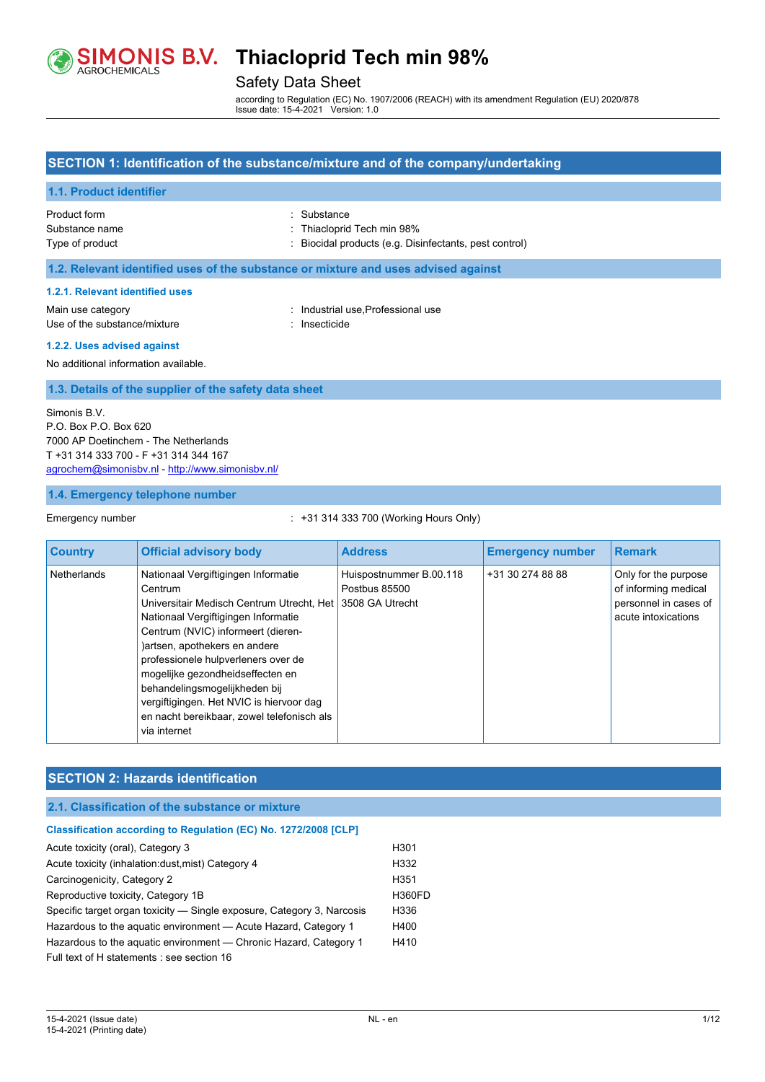

# Safety Data Sheet

according to Regulation (EC) No. 1907/2006 (REACH) with its amendment Regulation (EU) 2020/878 Issue date: 15-4-2021 Version: 1.0

## **SECTION 1: Identification of the substance/mixture and of the company/undertaking**

### **1.1. Product identifier**

| Product form    | : Substance                                            |
|-----------------|--------------------------------------------------------|
| Substance name  | : Thiacloprid Tech min 98%                             |
| Type of product | : Biocidal products (e.g. Disinfectants, pest control) |

#### **1.2. Relevant identified uses of the substance or mixture and uses advised against**

#### **1.2.1. Relevant identified uses**

Main use category **industrial use of the Category** industrial use Professional use Use of the substance/mixture interest in the settle of the substance/mixture interest in the settle in the substance

#### **1.2.2. Uses advised against**

No additional information available.

#### **1.3. Details of the supplier of the safety data sheet**

Simonis B.V. P.O. Box P.O. Box 620 7000 AP Doetinchem - The Netherlands T +31 314 333 700 - F +31 314 344 167 [agrochem@simonisbv.nl](mailto:agrochem@simonisbv.nl) - <http://www.simonisbv.nl/>

#### **1.4. Emergency telephone number**

#### Emergency number : +31 314 333 700 (Working Hours Only)

| <b>Country</b> | <b>Official advisory body</b>                                                                                                                                                                                                                                                                                                                                                                                                   | <b>Address</b>                                              | <b>Emergency number</b> | <b>Remark</b>                                                                                |
|----------------|---------------------------------------------------------------------------------------------------------------------------------------------------------------------------------------------------------------------------------------------------------------------------------------------------------------------------------------------------------------------------------------------------------------------------------|-------------------------------------------------------------|-------------------------|----------------------------------------------------------------------------------------------|
| Netherlands    | Nationaal Vergiftigingen Informatie<br>Centrum<br>Universitair Medisch Centrum Utrecht, Het<br>Nationaal Vergiftigingen Informatie<br>Centrum (NVIC) informeert (dieren-<br>)artsen, apothekers en andere<br>professionele hulpverleners over de<br>mogelijke gezondheidseffecten en<br>behandelingsmogelijkheden bij<br>vergiftigingen. Het NVIC is hiervoor dag<br>en nacht bereikbaar, zowel telefonisch als<br>via internet | Huispostnummer B.00.118<br>Postbus 85500<br>3508 GA Utrecht | +31 30 274 88 88        | Only for the purpose<br>of informing medical<br>personnel in cases of<br>acute intoxications |

#### **SECTION 2: Hazards identification**

### **2.1. Classification of the substance or mixture**

## **Classification according to Regulation (EC) No. 1272/2008 [CLP]** Acute toxicity (oral), Category 3 H301 Acute toxicity (inhalation:dust,mist) Category 4 H332 Carcinogenicity, Category 2 H351 Reproductive toxicity, Category 1B 
H360FD Specific target organ toxicity - Single exposure, Category 3, Narcosis H336 Hazardous to the aquatic environment - Acute Hazard, Category 1 H400 Hazardous to the aquatic environment - Chronic Hazard, Category 1 H410 Full text of H statements : see section 16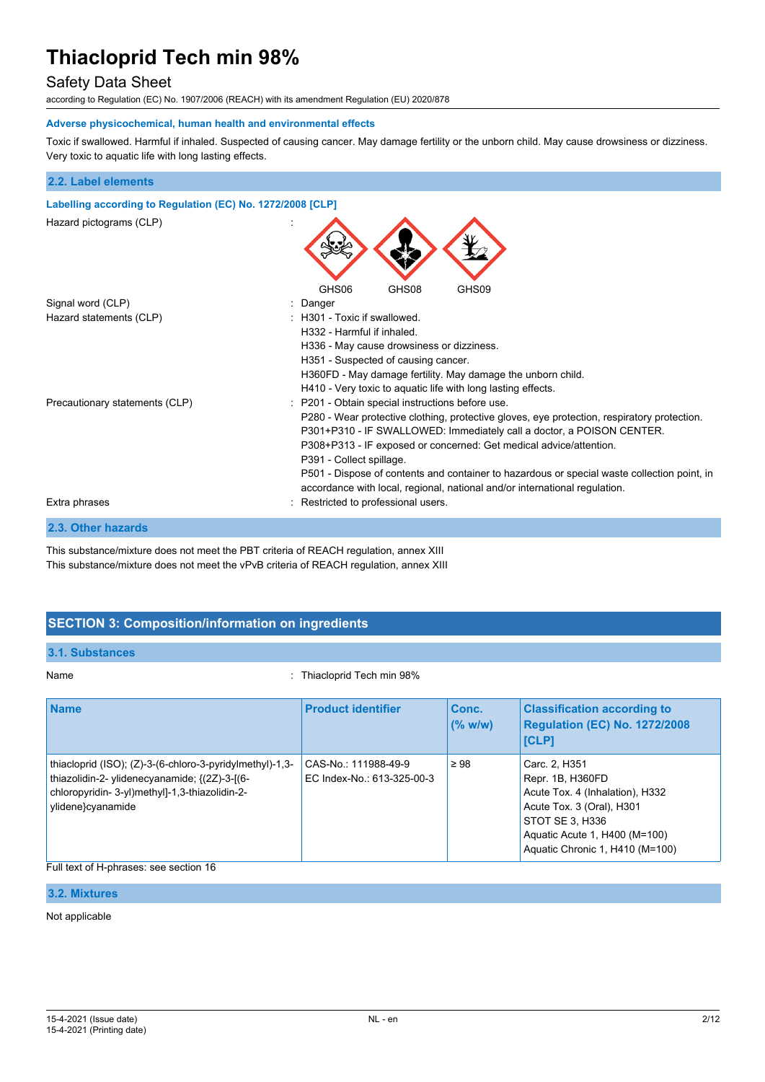# Safety Data Sheet

according to Regulation (EC) No. 1907/2006 (REACH) with its amendment Regulation (EU) 2020/878

#### **Adverse physicochemical, human health and environmental effects**

Toxic if swallowed. Harmful if inhaled. Suspected of causing cancer. May damage fertility or the unborn child. May cause drowsiness or dizziness. Very toxic to aquatic life with long lasting effects.

| 2.2. Label elements                                        |                                                                                                                                                                                                                                                                                                                                                                                                                                                                                                         |  |  |
|------------------------------------------------------------|---------------------------------------------------------------------------------------------------------------------------------------------------------------------------------------------------------------------------------------------------------------------------------------------------------------------------------------------------------------------------------------------------------------------------------------------------------------------------------------------------------|--|--|
| Labelling according to Regulation (EC) No. 1272/2008 [CLP] |                                                                                                                                                                                                                                                                                                                                                                                                                                                                                                         |  |  |
| Hazard pictograms (CLP)                                    |                                                                                                                                                                                                                                                                                                                                                                                                                                                                                                         |  |  |
|                                                            | GHS08<br>GHS06<br>GHS09                                                                                                                                                                                                                                                                                                                                                                                                                                                                                 |  |  |
| Signal word (CLP)                                          | Danger                                                                                                                                                                                                                                                                                                                                                                                                                                                                                                  |  |  |
| Hazard statements (CLP)                                    | $\pm$ H301 - Toxic if swallowed.<br>H332 - Harmful if inhaled.<br>H336 - May cause drowsiness or dizziness.<br>H351 - Suspected of causing cancer.<br>H360FD - May damage fertility. May damage the unborn child.<br>H410 - Very toxic to aquatic life with long lasting effects.                                                                                                                                                                                                                       |  |  |
| Precautionary statements (CLP)                             | : P201 - Obtain special instructions before use.<br>P280 - Wear protective clothing, protective gloves, eye protection, respiratory protection.<br>P301+P310 - IF SWALLOWED: Immediately call a doctor, a POISON CENTER.<br>P308+P313 - IF exposed or concerned: Get medical advice/attention.<br>P391 - Collect spillage.<br>P501 - Dispose of contents and container to hazardous or special waste collection point, in<br>accordance with local, regional, national and/or international regulation. |  |  |
| Extra phrases                                              | Restricted to professional users.                                                                                                                                                                                                                                                                                                                                                                                                                                                                       |  |  |
| 2.3. Other hazards                                         |                                                                                                                                                                                                                                                                                                                                                                                                                                                                                                         |  |  |

This substance/mixture does not meet the PBT criteria of REACH regulation, annex XIII This substance/mixture does not meet the vPvB criteria of REACH regulation, annex XIII

# **SECTION 3: Composition/information on ingredients**

### **3.1. Substances**

Name **Name** : Thiacloprid Tech min 98%

| <b>Name</b>                                                                                                                                                                      | <b>Product identifier</b>                          | Conc.<br>(% w/w) | <b>Classification according to</b><br>Regulation (EC) No. 1272/2008<br><b>ICLPI</b>                                                                                                      |
|----------------------------------------------------------------------------------------------------------------------------------------------------------------------------------|----------------------------------------------------|------------------|------------------------------------------------------------------------------------------------------------------------------------------------------------------------------------------|
| thiacloprid (ISO); (Z)-3-(6-chloro-3-pyridylmethyl)-1,3-<br>thiazolidin-2- ylidenecyanamide; {(2Z)-3-[(6-<br>chloropyridin- 3-yl)methyl]-1,3-thiazolidin-2-<br>ylidene}cyanamide | CAS-No.: 111988-49-9<br>EC Index-No.: 613-325-00-3 | $\geq 98$        | Carc. 2, H351<br>Repr. 1B, H360FD<br>Acute Tox. 4 (Inhalation), H332<br>Acute Tox. 3 (Oral), H301<br>STOT SE 3. H336<br>Aquatic Acute 1, H400 (M=100)<br>Aquatic Chronic 1, H410 (M=100) |

### Full text of H-phrases: see section 16

### **3.2. Mixtures**

#### Not applicable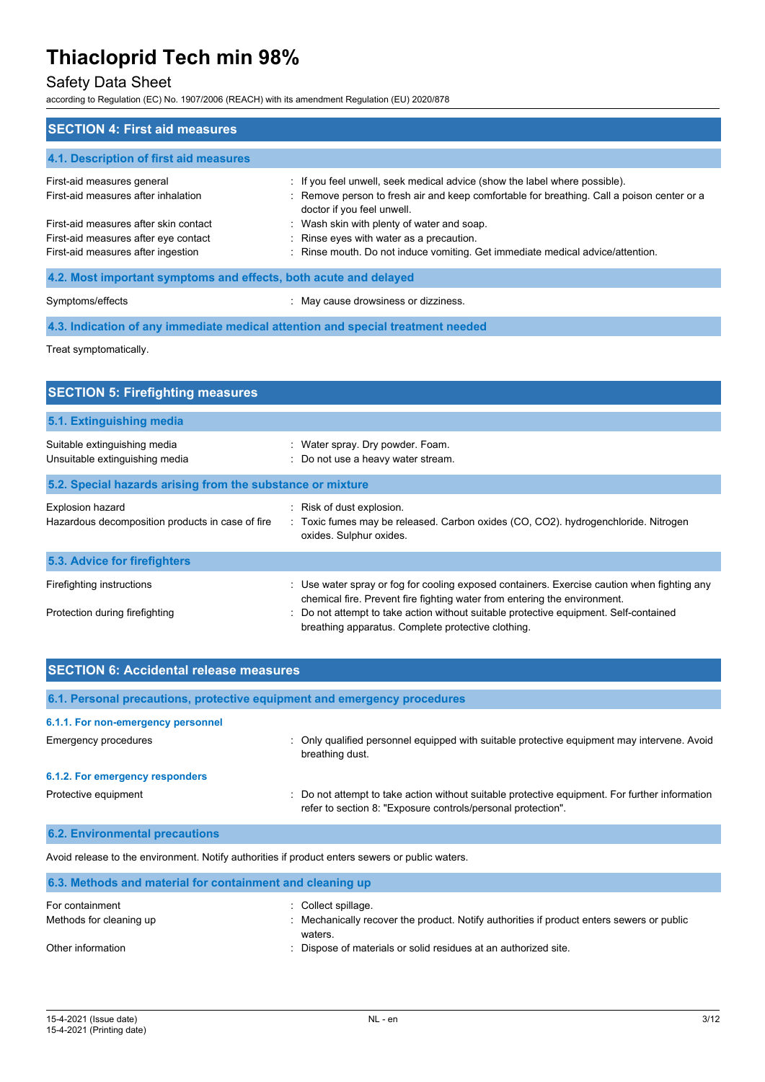# Safety Data Sheet

according to Regulation (EC) No. 1907/2006 (REACH) with its amendment Regulation (EU) 2020/878

| <b>SECTION 4: First aid measures</b>                             |                                                                                                                          |
|------------------------------------------------------------------|--------------------------------------------------------------------------------------------------------------------------|
| 4.1. Description of first aid measures                           |                                                                                                                          |
| First-aid measures general                                       | : If you feel unwell, seek medical advice (show the label where possible).                                               |
| First-aid measures after inhalation                              | : Remove person to fresh air and keep comfortable for breathing. Call a poison center or a<br>doctor if you feel unwell. |
| First-aid measures after skin contact                            | : Wash skin with plenty of water and soap.                                                                               |
| First-aid measures after eye contact                             | : Rinse eyes with water as a precaution.                                                                                 |
| First-aid measures after ingestion                               | : Rinse mouth. Do not induce vomiting. Get immediate medical advice/attention.                                           |
| 4.2. Most important symptoms and effects, both acute and delayed |                                                                                                                          |

Symptoms/effects **in the symptoms/effects** in May cause drowsiness or dizziness.

**4.3. Indication of any immediate medical attention and special treatment needed**

Treat symptomatically.

| <b>SECTION 5: Firefighting measures</b>                                     |                                                                                                                                                                                                                                                                                                                       |
|-----------------------------------------------------------------------------|-----------------------------------------------------------------------------------------------------------------------------------------------------------------------------------------------------------------------------------------------------------------------------------------------------------------------|
| 5.1. Extinguishing media                                                    |                                                                                                                                                                                                                                                                                                                       |
| Suitable extinguishing media<br>Unsuitable extinguishing media              | : Water spray. Dry powder. Foam.<br>: Do not use a heavy water stream.                                                                                                                                                                                                                                                |
| 5.2. Special hazards arising from the substance or mixture                  |                                                                                                                                                                                                                                                                                                                       |
| <b>Explosion hazard</b><br>Hazardous decomposition products in case of fire | : Risk of dust explosion.<br>: Toxic fumes may be released. Carbon oxides (CO, CO2). hydrogenchloride. Nitrogen<br>oxides. Sulphur oxides.                                                                                                                                                                            |
| 5.3. Advice for firefighters                                                |                                                                                                                                                                                                                                                                                                                       |
| Firefighting instructions<br>Protection during firefighting                 | : Use water spray or fog for cooling exposed containers. Exercise caution when fighting any<br>chemical fire. Prevent fire fighting water from entering the environment.<br>Do not attempt to take action without suitable protective equipment. Self-contained<br>breathing apparatus. Complete protective clothing. |

| <b>SECTION 6: Accidental release measures</b> |                                                                                                                                                                |  |  |
|-----------------------------------------------|----------------------------------------------------------------------------------------------------------------------------------------------------------------|--|--|
|                                               | 6.1. Personal precautions, protective equipment and emergency procedures                                                                                       |  |  |
| 6.1.1. For non-emergency personnel            |                                                                                                                                                                |  |  |
| <b>Emergency procedures</b>                   | : Only qualified personnel equipped with suitable protective equipment may intervene. Avoid<br>breathing dust.                                                 |  |  |
| 6.1.2. For emergency responders               |                                                                                                                                                                |  |  |
| Protective equipment                          | : Do not attempt to take action without suitable protective equipment. For further information<br>refer to section 8: "Exposure controls/personal protection". |  |  |
| <b>6.2. Environmental precautions</b>         |                                                                                                                                                                |  |  |
|                                               | Avoid release to the environment. Notify authorities if product enters sewers or public waters.                                                                |  |  |

| 6.3. Methods and material for containment and cleaning up |                                                                                                                           |  |
|-----------------------------------------------------------|---------------------------------------------------------------------------------------------------------------------------|--|
| For containment<br>Methods for cleaning up                | Collect spillage.<br>: Mechanically recover the product. Notify authorities if product enters sewers or public<br>waters. |  |
| Other information                                         | : Dispose of materials or solid residues at an authorized site.                                                           |  |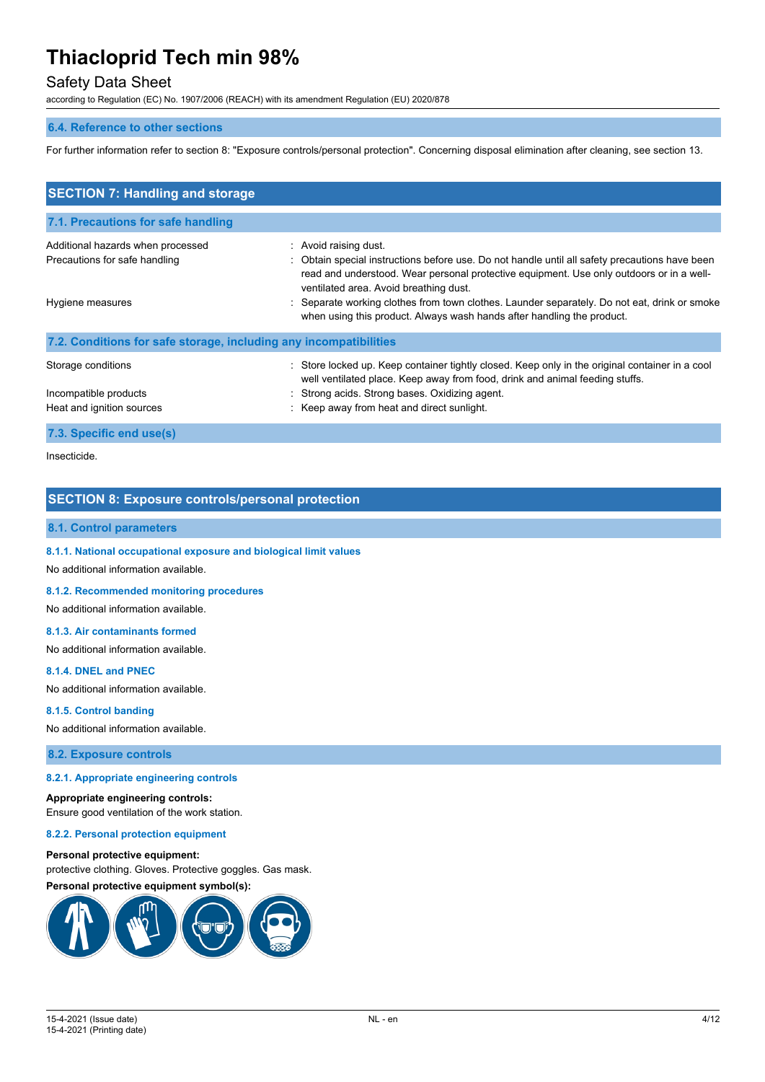# Safety Data Sheet

according to Regulation (EC) No. 1907/2006 (REACH) with its amendment Regulation (EU) 2020/878

#### **6.4. Reference to other sections**

For further information refer to section 8: "Exposure controls/personal protection". Concerning disposal elimination after cleaning, see section 13.

| <b>SECTION 7: Handling and storage</b>                             |                                                                                                                                                                                                                                                               |
|--------------------------------------------------------------------|---------------------------------------------------------------------------------------------------------------------------------------------------------------------------------------------------------------------------------------------------------------|
| 7.1. Precautions for safe handling                                 |                                                                                                                                                                                                                                                               |
| Additional hazards when processed<br>Precautions for safe handling | : Avoid raising dust.<br>: Obtain special instructions before use. Do not handle until all safety precautions have been<br>read and understood. Wear personal protective equipment. Use only outdoors or in a well-<br>ventilated area. Avoid breathing dust. |
| Hygiene measures                                                   | : Separate working clothes from town clothes. Launder separately. Do not eat, drink or smoke<br>when using this product. Always wash hands after handling the product.                                                                                        |
| 7.2. Conditions for safe storage, including any incompatibilities  |                                                                                                                                                                                                                                                               |
| Storage conditions                                                 | Store locked up. Keep container tightly closed. Keep only in the original container in a cool<br>well ventilated place. Keep away from food, drink and animal feeding stuffs.                                                                                 |
| Incompatible products                                              | : Strong acids. Strong bases. Oxidizing agent.                                                                                                                                                                                                                |
| Heat and ignition sources                                          | : Keep away from heat and direct sunlight.                                                                                                                                                                                                                    |
| 7.3. Specific end use(s)                                           |                                                                                                                                                                                                                                                               |

#### Insecticide.

### **SECTION 8: Exposure controls/personal protection**

### **8.1. Control parameters**

**8.1.1. National occupational exposure and biological limit values**

No additional information available.

#### **8.1.2. Recommended monitoring procedures**

No additional information available.

#### **8.1.3. Air contaminants formed**

No additional information available.

#### **8.1.4. DNEL and PNEC**

No additional information available.

#### **8.1.5. Control banding**

No additional information available.

**8.2. Exposure controls**

#### **8.2.1. Appropriate engineering controls**

#### **Appropriate engineering controls:**

Ensure good ventilation of the work station.

#### **8.2.2. Personal protection equipment**

#### **Personal protective equipment:**

protective clothing. Gloves. Protective goggles. Gas mask. **Personal protective equipment symbol(s):**

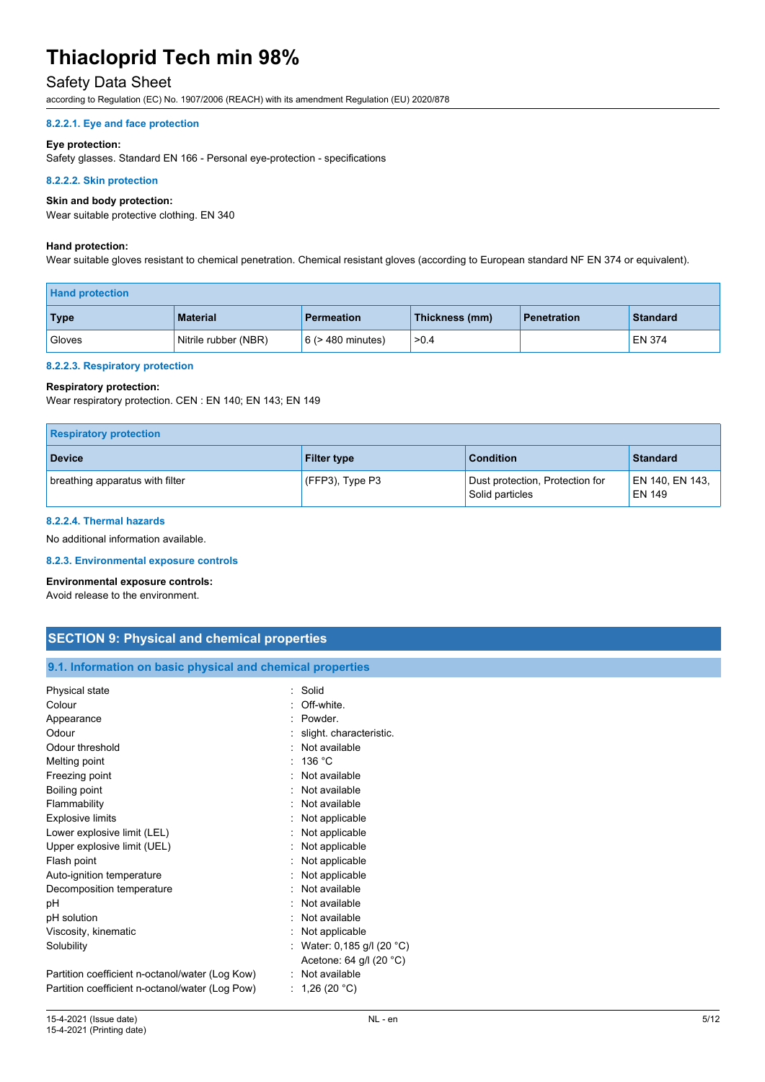# Safety Data Sheet

according to Regulation (EC) No. 1907/2006 (REACH) with its amendment Regulation (EU) 2020/878

#### **8.2.2.1. Eye and face protection**

#### **Eye protection:**

Safety glasses. Standard EN 166 - Personal eye-protection - specifications

#### **8.2.2.2. Skin protection**

#### **Skin and body protection:**

Wear suitable protective clothing. EN 340

#### **Hand protection:**

Wear suitable gloves resistant to chemical penetration. Chemical resistant gloves (according to European standard NF EN 374 or equivalent).

| <b>Hand protection</b> |                      |                        |                |             |                 |
|------------------------|----------------------|------------------------|----------------|-------------|-----------------|
| <b>Type</b>            | <b>Material</b>      | <b>Permeation</b>      | Thickness (mm) | Penetration | <b>Standard</b> |
| Gloves                 | Nitrile rubber (NBR) | $6$ ( $>$ 480 minutes) | >0.4           |             | <b>EN 374</b>   |

#### **8.2.2.3. Respiratory protection**

#### **Respiratory protection:**

Wear respiratory protection. CEN : EN 140; EN 143; EN 149

| <b>Respiratory protection</b>   |                    |                                                    |                                  |
|---------------------------------|--------------------|----------------------------------------------------|----------------------------------|
| <b>Device</b>                   | <b>Filter type</b> | <b>Condition</b>                                   | <b>Standard</b>                  |
| breathing apparatus with filter | (FFP3), Type P3    | Dust protection, Protection for<br>Solid particles | EN 140, EN 143,<br><b>EN 149</b> |

#### **8.2.2.4. Thermal hazards**

No additional information available.

#### **8.2.3. Environmental exposure controls**

**Environmental exposure controls:** Avoid release to the environment.

| <b>SECTION 9: Physical and chemical properties</b> |  |
|----------------------------------------------------|--|
|                                                    |  |

### **9.1. Information on basic physical and chemical properties**

| Physical state                                  | : Solid                    |
|-------------------------------------------------|----------------------------|
| Colour                                          | Off-white.                 |
| Appearance                                      | Powder.                    |
| Odour                                           | slight. characteristic.    |
| Odour threshold                                 | Not available              |
| Melting point                                   | 136 °C                     |
| Freezing point                                  | Not available              |
| Boiling point                                   | : Not available            |
| Flammability                                    | Not available              |
| <b>Explosive limits</b>                         | Not applicable             |
| Lower explosive limit (LEL)                     | Not applicable             |
| Upper explosive limit (UEL)                     | Not applicable             |
| Flash point                                     | Not applicable             |
| Auto-ignition temperature                       | Not applicable             |
| Decomposition temperature                       | Not available              |
| рH                                              | Not available              |
| pH solution                                     | Not available              |
| Viscosity, kinematic                            | Not applicable             |
| Solubility                                      | : Water: 0,185 g/l (20 °C) |
|                                                 | Acetone: 64 g/l $(20 °C)$  |
| Partition coefficient n-octanol/water (Log Kow) | : Not available            |
| Partition coefficient n-octanol/water (Log Pow) | 1,26 $(20 °C)$             |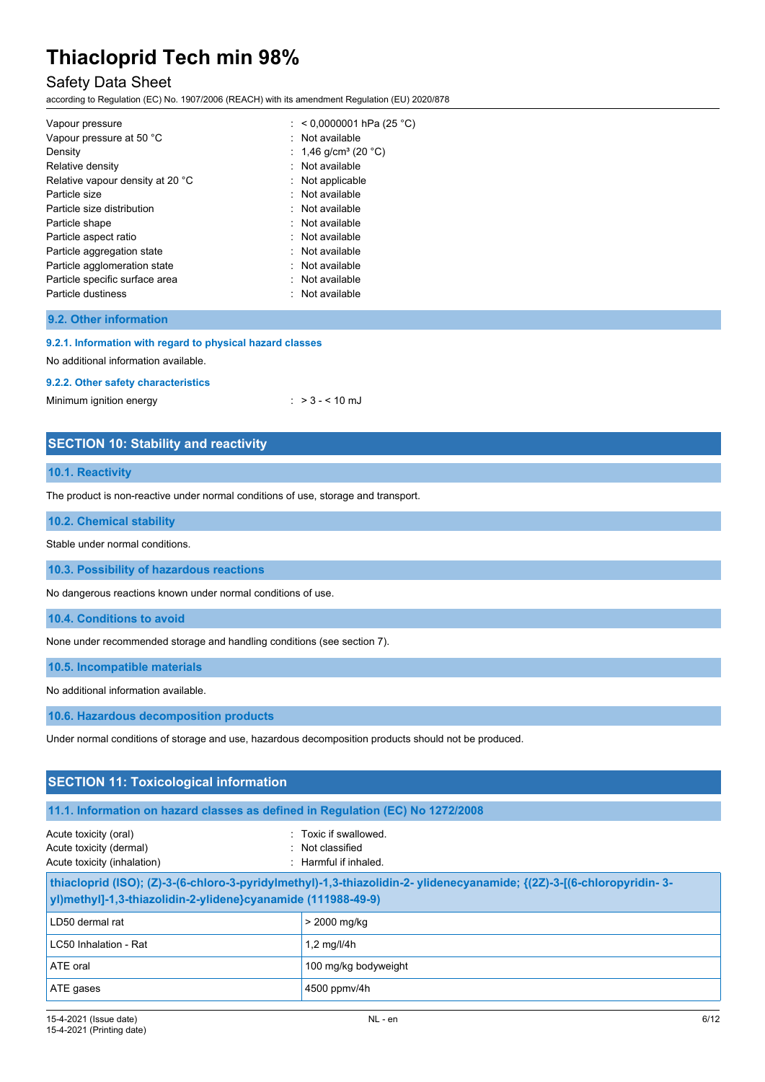# Safety Data Sheet

according to Regulation (EC) No. 1907/2006 (REACH) with its amendment Regulation (EU) 2020/878

| Vapour pressure                  | : $< 0.0000001$ hPa (25 °C)      |
|----------------------------------|----------------------------------|
| Vapour pressure at 50 °C         | : Not available                  |
| Density                          | : 1,46 g/cm <sup>3</sup> (20 °C) |
| Relative density                 | : Not available                  |
| Relative vapour density at 20 °C | $:$ Not applicable               |
| Particle size                    | : Not available                  |
| Particle size distribution       | : Not available                  |
| Particle shape                   | : Not available                  |
| Particle aspect ratio            | Not available<br>۰.              |
| Particle aggregation state       | : Not available                  |
| Particle agglomeration state     | : Not available                  |
| Particle specific surface area   | Not available<br>٠               |
| Particle dustiness               | : Not available                  |

### **9.2. Other information**

#### **9.2.1. Information with regard to physical hazard classes**

No additional information available.

#### **9.2.2. Other safety characteristics**

Minimum ignition energy  $:$  > 3 - < 10 mJ

## **SECTION 10: Stability and reactivity**

#### **10.1. Reactivity**

The product is non-reactive under normal conditions of use, storage and transport.

#### **10.2. Chemical stability**

Stable under normal conditions.

**10.3. Possibility of hazardous reactions**

No dangerous reactions known under normal conditions of use.

**10.4. Conditions to avoid**

None under recommended storage and handling conditions (see section 7).

**10.5. Incompatible materials**

No additional information available.

**10.6. Hazardous decomposition products**

Under normal conditions of storage and use, hazardous decomposition products should not be produced.

| <b>SECTION 11: Toxicological information</b>                                                                                                                                         |                      |  |  |  |
|--------------------------------------------------------------------------------------------------------------------------------------------------------------------------------------|----------------------|--|--|--|
| 11.1. Information on hazard classes as defined in Regulation (EC) No 1272/2008                                                                                                       |                      |  |  |  |
| Toxic if swallowed.<br>Acute toxicity (oral)<br>Acute toxicity (dermal)<br>: Not classified<br>Acute toxicity (inhalation)<br>: Harmful if inhaled.                                  |                      |  |  |  |
| thiacloprid (ISO); (Z)-3-(6-chloro-3-pyridylmethyl)-1,3-thiazolidin-2-ylidenecyanamide; {(2Z)-3-[(6-chloropyridin-3-<br>yl)methyl]-1,3-thiazolidin-2-ylidene}cyanamide (111988-49-9) |                      |  |  |  |
| LD50 dermal rat                                                                                                                                                                      | > 2000 mg/kg         |  |  |  |
| LC50 Inhalation - Rat                                                                                                                                                                | 1,2 mg/l/4h          |  |  |  |
| ATE oral                                                                                                                                                                             | 100 mg/kg bodyweight |  |  |  |
| ATE gases                                                                                                                                                                            | 4500 ppmv/4h         |  |  |  |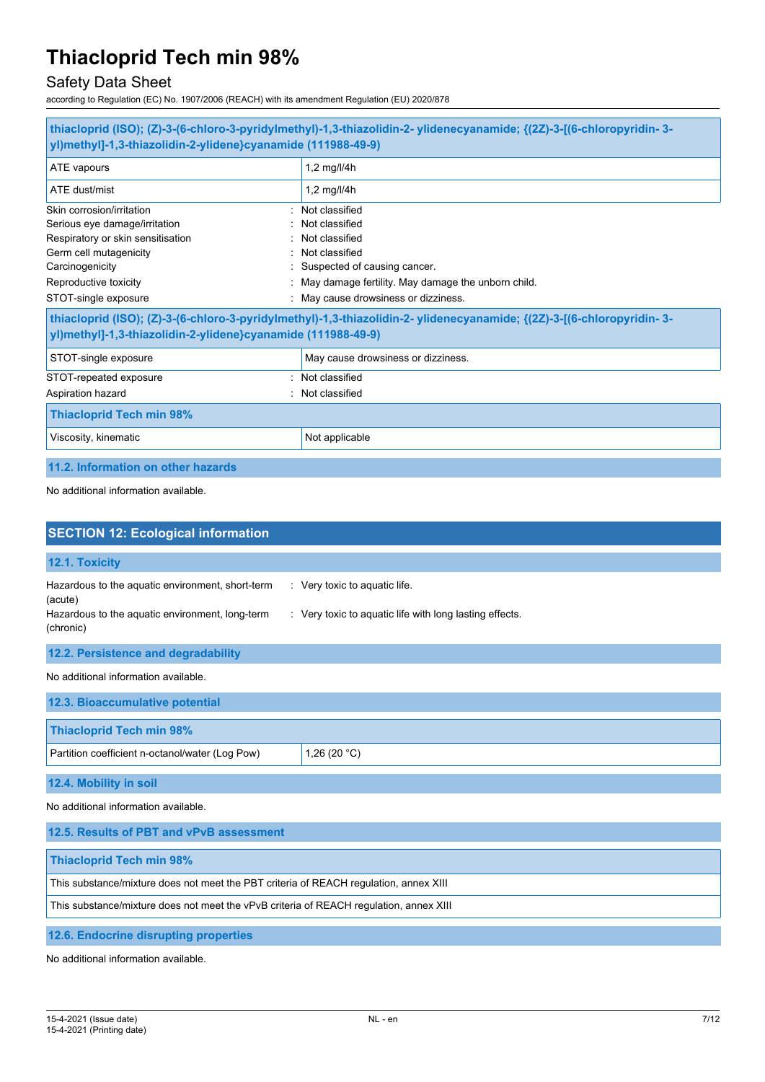# Safety Data Sheet

according to Regulation (EC) No. 1907/2006 (REACH) with its amendment Regulation (EU) 2020/878

| thiacloprid (ISO); (Z)-3-(6-chloro-3-pyridylmethyl)-1,3-thiazolidin-2-ylidenecyanamide; {(2Z)-3-[(6-chloropyridin-3-<br>yl)methyl]-1,3-thiazolidin-2-ylidene}cyanamide (111988-49-9)          |                                                                                                                                                                                                  |  |  |  |
|-----------------------------------------------------------------------------------------------------------------------------------------------------------------------------------------------|--------------------------------------------------------------------------------------------------------------------------------------------------------------------------------------------------|--|--|--|
| ATE vapours                                                                                                                                                                                   | 1,2 mg/l/4h                                                                                                                                                                                      |  |  |  |
| ATE dust/mist                                                                                                                                                                                 | 1,2 mg/l/4h                                                                                                                                                                                      |  |  |  |
| Skin corrosion/irritation<br>Serious eye damage/irritation<br>Respiratory or skin sensitisation<br>Germ cell mutagenicity<br>Carcinogenicity<br>Reproductive toxicity<br>STOT-single exposure | Not classified<br>Not classified<br>Not classified<br>Not classified<br>Suspected of causing cancer.<br>May damage fertility. May damage the unborn child.<br>May cause drowsiness or dizziness. |  |  |  |
| yl)methyl]-1,3-thiazolidin-2-ylidene}cyanamide (111988-49-9)                                                                                                                                  | thiacloprid (ISO); (Z)-3-(6-chloro-3-pyridylmethyl)-1,3-thiazolidin-2-ylidenecyanamide; {(2Z)-3-[(6-chloropyridin-3-                                                                             |  |  |  |
| STOT-single exposure                                                                                                                                                                          | May cause drowsiness or dizziness.                                                                                                                                                               |  |  |  |
| STOT-repeated exposure<br>$\sim$<br>Aspiration hazard                                                                                                                                         | Not classified<br>Not classified                                                                                                                                                                 |  |  |  |
| <b>Thiacloprid Tech min 98%</b>                                                                                                                                                               |                                                                                                                                                                                                  |  |  |  |
| Viscosity, kinematic                                                                                                                                                                          | Not applicable                                                                                                                                                                                   |  |  |  |
| 11.2. Information on other hazards                                                                                                                                                            |                                                                                                                                                                                                  |  |  |  |

No additional information available.

| <b>SECTION 12: Ecological information</b>                                                                      |                                                                                          |  |  |  |
|----------------------------------------------------------------------------------------------------------------|------------------------------------------------------------------------------------------|--|--|--|
| 12.1. Toxicity                                                                                                 |                                                                                          |  |  |  |
| Hazardous to the aquatic environment, short-term<br>(acute)<br>Hazardous to the aquatic environment, long-term | : Very toxic to aquatic life.<br>: Very toxic to aquatic life with long lasting effects. |  |  |  |
| (chronic)                                                                                                      |                                                                                          |  |  |  |
| 12.2. Persistence and degradability                                                                            |                                                                                          |  |  |  |
| No additional information available.                                                                           |                                                                                          |  |  |  |
| 12.3. Bioaccumulative potential                                                                                |                                                                                          |  |  |  |
| <b>Thiacloprid Tech min 98%</b>                                                                                |                                                                                          |  |  |  |
| Partition coefficient n-octanol/water (Log Pow)                                                                | 1,26 $(20 °C)$                                                                           |  |  |  |
| 12.4. Mobility in soil                                                                                         |                                                                                          |  |  |  |
| No additional information available.                                                                           |                                                                                          |  |  |  |
| 12.5. Results of PBT and vPvB assessment                                                                       |                                                                                          |  |  |  |
| <b>Thiacloprid Tech min 98%</b>                                                                                |                                                                                          |  |  |  |
| This substance/mixture does not meet the PBT criteria of REACH regulation, annex XIII                          |                                                                                          |  |  |  |
| This substance/mixture does not meet the vPvB criteria of REACH regulation, annex XIII                         |                                                                                          |  |  |  |

**12.6. Endocrine disrupting properties**

No additional information available.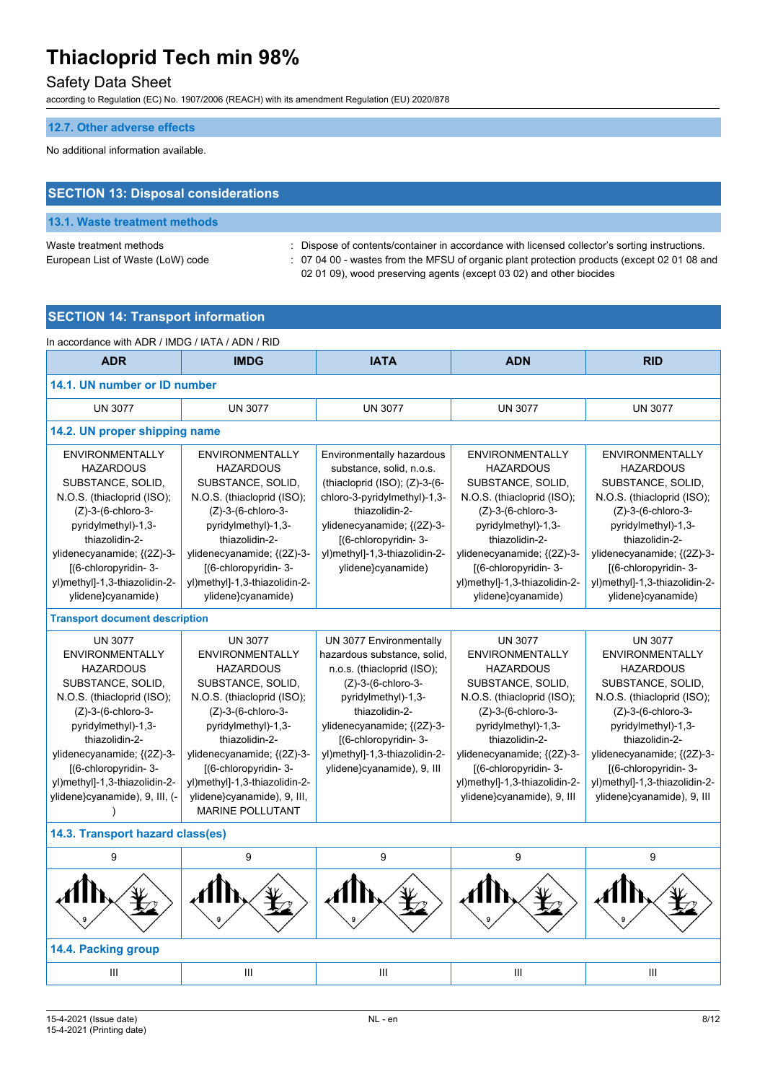# Safety Data Sheet

according to Regulation (EC) No. 1907/2006 (REACH) with its amendment Regulation (EU) 2020/878

#### **12.7. Other adverse effects**

No additional information available.

# **SECTION 13: Disposal considerations**

# **13.1. Waste treatment methods**

Waste treatment methods : Dispose of contents/container in accordance with licensed collector's sorting instructions. European List of Waste (LoW) code : 07 04 00 - wastes from the MFSU of organic plant protection products (except 02 01 08 and 02 01 09), wood preserving agents (except 03 02) and other biocides

# **SECTION 14: Transport information**

| In accordance with ADR / IMDG / IATA / ADN / RID                                                                                                                                                                                                                                                               |                                                                                                                                                                                                                                                                                                                                 |                                                                                                                                                                                                                                                                          |                                                                                                                                                                                                                                                                                                       |                                                                                                                                                                                                                                                                                                            |  |  |  |
|----------------------------------------------------------------------------------------------------------------------------------------------------------------------------------------------------------------------------------------------------------------------------------------------------------------|---------------------------------------------------------------------------------------------------------------------------------------------------------------------------------------------------------------------------------------------------------------------------------------------------------------------------------|--------------------------------------------------------------------------------------------------------------------------------------------------------------------------------------------------------------------------------------------------------------------------|-------------------------------------------------------------------------------------------------------------------------------------------------------------------------------------------------------------------------------------------------------------------------------------------------------|------------------------------------------------------------------------------------------------------------------------------------------------------------------------------------------------------------------------------------------------------------------------------------------------------------|--|--|--|
| <b>ADR</b>                                                                                                                                                                                                                                                                                                     | <b>IMDG</b>                                                                                                                                                                                                                                                                                                                     | <b>IATA</b>                                                                                                                                                                                                                                                              | <b>ADN</b>                                                                                                                                                                                                                                                                                            | <b>RID</b>                                                                                                                                                                                                                                                                                                 |  |  |  |
| 14.1. UN number or ID number                                                                                                                                                                                                                                                                                   |                                                                                                                                                                                                                                                                                                                                 |                                                                                                                                                                                                                                                                          |                                                                                                                                                                                                                                                                                                       |                                                                                                                                                                                                                                                                                                            |  |  |  |
| <b>UN 3077</b>                                                                                                                                                                                                                                                                                                 | <b>UN 3077</b>                                                                                                                                                                                                                                                                                                                  | <b>UN 3077</b>                                                                                                                                                                                                                                                           | <b>UN 3077</b>                                                                                                                                                                                                                                                                                        | <b>UN 3077</b>                                                                                                                                                                                                                                                                                             |  |  |  |
| 14.2. UN proper shipping name                                                                                                                                                                                                                                                                                  |                                                                                                                                                                                                                                                                                                                                 |                                                                                                                                                                                                                                                                          |                                                                                                                                                                                                                                                                                                       |                                                                                                                                                                                                                                                                                                            |  |  |  |
| <b>ENVIRONMENTALLY</b><br><b>HAZARDOUS</b><br>SUBSTANCE, SOLID,<br>N.O.S. (thiacloprid (ISO);<br>(Z)-3-(6-chloro-3-<br>pyridylmethyl)-1,3-<br>thiazolidin-2-<br>ylidenecyanamide; {(2Z)-3-<br>[(6-chloropyridin-3-<br>yl)methyl]-1,3-thiazolidin-2-                                                            | <b>ENVIRONMENTALLY</b><br><b>HAZARDOUS</b><br>SUBSTANCE, SOLID,<br>N.O.S. (thiacloprid (ISO);<br>(Z)-3-(6-chloro-3-<br>pyridylmethyl)-1,3-<br>thiazolidin-2-<br>ylidenecyanamide; {(2Z)-3-<br>[(6-chloropyridin-3-<br>yl)methyl]-1,3-thiazolidin-2-                                                                             | Environmentally hazardous<br>substance, solid, n.o.s.<br>(thiacloprid $(ISO)$ ; $(Z)-3-(6-$<br>chloro-3-pyridylmethyl)-1,3-<br>thiazolidin-2-<br>ylidenecyanamide; {(2Z)-3-<br>[(6-chloropyridin-3-<br>yl)methyl]-1,3-thiazolidin-2-<br>ylidene}cyanamide)               | <b>ENVIRONMENTALLY</b><br><b>HAZARDOUS</b><br>SUBSTANCE, SOLID,<br>N.O.S. (thiacloprid (ISO);<br>(Z)-3-(6-chloro-3-<br>pyridylmethyl)-1,3-<br>thiazolidin-2-<br>ylidenecyanamide; {(2Z)-3-<br>[(6-chloropyridin-3-<br>yl)methyl]-1,3-thiazolidin-2-                                                   | <b>ENVIRONMENTALLY</b><br><b>HAZARDOUS</b><br>SUBSTANCE, SOLID,<br>N.O.S. (thiacloprid (ISO);<br>(Z)-3-(6-chloro-3-<br>pyridylmethyl)-1,3-<br>thiazolidin-2-<br>ylidenecyanamide; {(2Z)-3-<br>[(6-chloropyridin-3-<br>yl)methyl]-1,3-thiazolidin-2-                                                        |  |  |  |
| ylidene}cyanamide)                                                                                                                                                                                                                                                                                             | ylidene}cyanamide)                                                                                                                                                                                                                                                                                                              |                                                                                                                                                                                                                                                                          | ylidene}cyanamide)                                                                                                                                                                                                                                                                                    | ylidene}cyanamide)                                                                                                                                                                                                                                                                                         |  |  |  |
| <b>Transport document description</b>                                                                                                                                                                                                                                                                          |                                                                                                                                                                                                                                                                                                                                 |                                                                                                                                                                                                                                                                          |                                                                                                                                                                                                                                                                                                       |                                                                                                                                                                                                                                                                                                            |  |  |  |
| <b>UN 3077</b><br><b>ENVIRONMENTALLY</b><br><b>HAZARDOUS</b><br>SUBSTANCE, SOLID,<br>N.O.S. (thiacloprid (ISO);<br>$(Z)$ -3- $(6$ -chloro-3-<br>pyridylmethyl)-1,3-<br>thiazolidin-2-<br>ylidenecyanamide; {(2Z)-3-<br>[(6-chloropyridin-3-<br>yl)methyl]-1,3-thiazolidin-2-<br>ylidene}cyanamide), 9, III, (- | <b>UN 3077</b><br>ENVIRONMENTALLY<br><b>HAZARDOUS</b><br>SUBSTANCE, SOLID,<br>N.O.S. (thiacloprid (ISO);<br>$(Z)$ -3- $(6$ -chloro-3-<br>pyridylmethyl)-1,3-<br>thiazolidin-2-<br>ylidenecyanamide; {(2Z)-3-<br>[(6-chloropyridin-3-<br>yl)methyl]-1,3-thiazolidin-2-<br>ylidene}cyanamide), 9, III,<br><b>MARINE POLLUTANT</b> | UN 3077 Environmentally<br>hazardous substance, solid,<br>n.o.s. (thiacloprid (ISO);<br>(Z)-3-(6-chloro-3-<br>pyridylmethyl)-1,3-<br>thiazolidin-2-<br>ylidenecyanamide; {(2Z)-3-<br>[(6-chloropyridin-3-<br>yl)methyl]-1,3-thiazolidin-2-<br>ylidene}cyanamide), 9, III | <b>UN 3077</b><br><b>ENVIRONMENTALLY</b><br><b>HAZARDOUS</b><br>SUBSTANCE, SOLID,<br>N.O.S. (thiacloprid (ISO),<br>$(Z)-3-(6-chloro-3-$<br>pyridylmethyl)-1,3-<br>thiazolidin-2-<br>ylidenecyanamide; {(2Z)-3-<br>[(6-chloropyridin-3-<br>yl)methyl]-1,3-thiazolidin-2-<br>ylidene}cyanamide), 9, III | <b>UN 3077</b><br><b>ENVIRONMENTALLY</b><br><b>HAZARDOUS</b><br>SUBSTANCE, SOLID,<br>N.O.S. (thiacloprid (ISO);<br>$(Z)$ -3- $(6$ -chloro-3-<br>pyridylmethyl)-1,3-<br>thiazolidin-2-<br>ylidenecyanamide; {(2Z)-3-<br>[(6-chloropyridin-3-<br>yl)methyl]-1,3-thiazolidin-2-<br>ylidene}cyanamide), 9, III |  |  |  |
| 14.3. Transport hazard class(es)                                                                                                                                                                                                                                                                               |                                                                                                                                                                                                                                                                                                                                 |                                                                                                                                                                                                                                                                          |                                                                                                                                                                                                                                                                                                       |                                                                                                                                                                                                                                                                                                            |  |  |  |
| 9                                                                                                                                                                                                                                                                                                              | 9                                                                                                                                                                                                                                                                                                                               | 9                                                                                                                                                                                                                                                                        | 9                                                                                                                                                                                                                                                                                                     | 9                                                                                                                                                                                                                                                                                                          |  |  |  |
|                                                                                                                                                                                                                                                                                                                |                                                                                                                                                                                                                                                                                                                                 |                                                                                                                                                                                                                                                                          |                                                                                                                                                                                                                                                                                                       |                                                                                                                                                                                                                                                                                                            |  |  |  |
| 14.4. Packing group                                                                                                                                                                                                                                                                                            |                                                                                                                                                                                                                                                                                                                                 |                                                                                                                                                                                                                                                                          |                                                                                                                                                                                                                                                                                                       |                                                                                                                                                                                                                                                                                                            |  |  |  |
| III                                                                                                                                                                                                                                                                                                            | Ш                                                                                                                                                                                                                                                                                                                               | $\mathbf{III}$                                                                                                                                                                                                                                                           | Ш                                                                                                                                                                                                                                                                                                     | III                                                                                                                                                                                                                                                                                                        |  |  |  |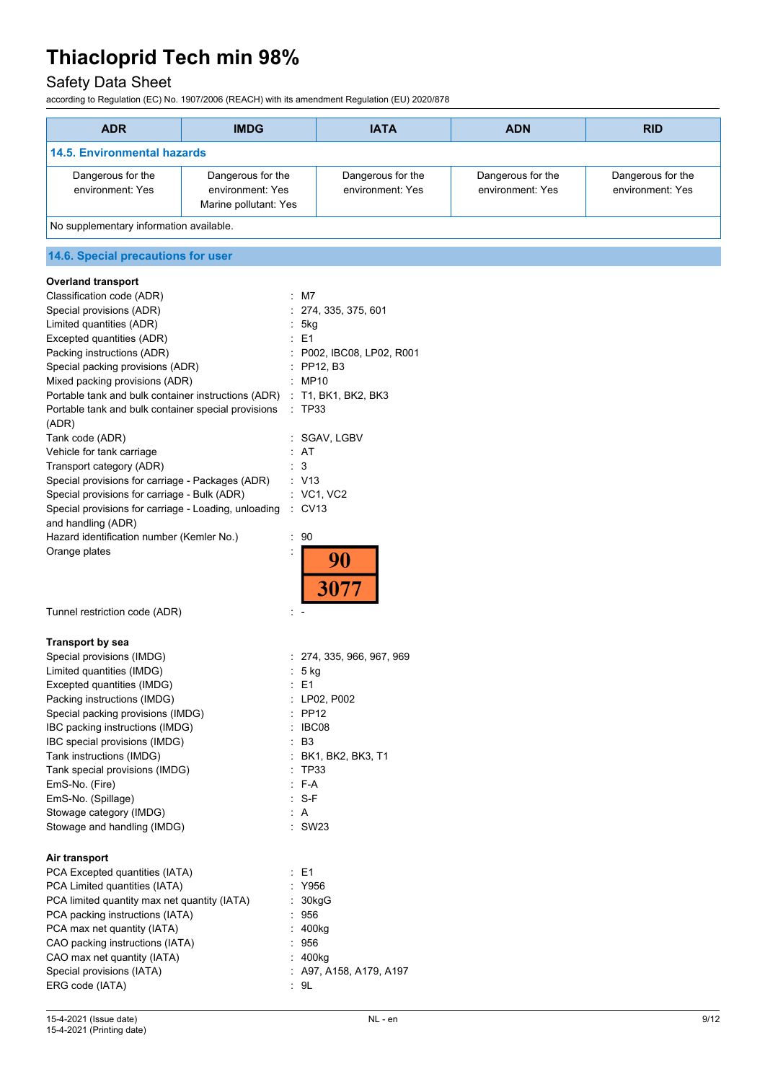# Safety Data Sheet

according to Regulation (EC) No. 1907/2006 (REACH) with its amendment Regulation (EU) 2020/878

| <b>ADR</b>                              | <b>IMDG</b>                                                    | <b>IATA</b>                           | <b>ADN</b>                            | <b>RID</b>                            |  |
|-----------------------------------------|----------------------------------------------------------------|---------------------------------------|---------------------------------------|---------------------------------------|--|
| <b>14.5. Environmental hazards</b>      |                                                                |                                       |                                       |                                       |  |
| Dangerous for the<br>environment: Yes   | Dangerous for the<br>environment: Yes<br>Marine pollutant: Yes | Dangerous for the<br>environment: Yes | Dangerous for the<br>environment: Yes | Dangerous for the<br>environment: Yes |  |
| No supplementary information available. |                                                                |                                       |                                       |                                       |  |
| 14.6. Special precautions for user      |                                                                |                                       |                                       |                                       |  |
| <b>Overland transport</b>               |                                                                |                                       |                                       |                                       |  |

| <b>Overland transport</b>                            |    |                           |
|------------------------------------------------------|----|---------------------------|
| Classification code (ADR)                            |    | $:$ M7                    |
| Special provisions (ADR)                             |    | : 274, 335, 375, 601      |
| Limited quantities (ADR)                             |    | 5kg                       |
| Excepted quantities (ADR)                            |    | $\pm$ E1                  |
| Packing instructions (ADR)                           |    | : P002, IBC08, LP02, R001 |
| Special packing provisions (ADR)                     |    | PP12, B3                  |
| Mixed packing provisions (ADR)                       |    | MP10                      |
| Portable tank and bulk container instructions (ADR)  |    | : T1, BK1, BK2, BK3       |
| Portable tank and bulk container special provisions  |    | : TP33                    |
| (ADR)                                                |    |                           |
| Tank code (ADR)                                      |    | : SGAV, LGBV              |
| Vehicle for tank carriage                            |    | AT                        |
| Transport category (ADR)                             |    | $\cdot$ 3                 |
| Special provisions for carriage - Packages (ADR)     |    | : V13                     |
| Special provisions for carriage - Bulk (ADR)         |    | $\therefore$ VC1, VC2     |
| Special provisions for carriage - Loading, unloading |    | $\therefore$ CV13         |
| and handling (ADR)                                   |    |                           |
| Hazard identification number (Kemler No.)            | ÷. | 90                        |
| Orange plates                                        |    |                           |
|                                                      |    |                           |
|                                                      |    |                           |
| Tunnel restriction code (ADR)                        |    |                           |

# **Transport by sea**

| Special provisions (IMDG)                    |    | : 274, 335, 966, 967, 969 |
|----------------------------------------------|----|---------------------------|
| Limited quantities (IMDG)                    |    | $: 5$ kg                  |
| Excepted quantities (IMDG)                   |    | : E1                      |
| Packing instructions (IMDG)                  |    | : LP02, P002              |
| Special packing provisions (IMDG)            |    | $\therefore$ PP12         |
| IBC packing instructions (IMDG)              |    | $\therefore$ IBC08        |
| IBC special provisions (IMDG)                |    | B3                        |
| Tank instructions (IMDG)                     |    | : BK1, BK2, BK3, T1       |
| Tank special provisions (IMDG)               | ۰. | TP33                      |
| EmS-No. (Fire)                               |    | $E - A$                   |
| EmS-No. (Spillage)                           |    | : S-F                     |
| Stowage category (IMDG)                      |    | : A                       |
| Stowage and handling (IMDG)                  |    | : SW23                    |
| Air transport                                |    |                           |
| PCA Excepted quantities (IATA)               |    | : E1                      |
| PCA Limited quantities (IATA)                |    | : Y956                    |
| PCA limited quantity max net quantity (IATA) |    | : 30kgG                   |
| PCA packing instructions (IATA)              |    | 956                       |
| PCA max net quantity (IATA)                  |    | : 400kg                   |
| CAO packing instructions (IATA)              |    | : 956                     |
| CAO max net quantity (IATA)                  |    | : 400kg                   |
| Special provisions (IATA)                    |    | : A97, A158, A179, A197   |
| ERG code (IATA)                              |    | : 9L                      |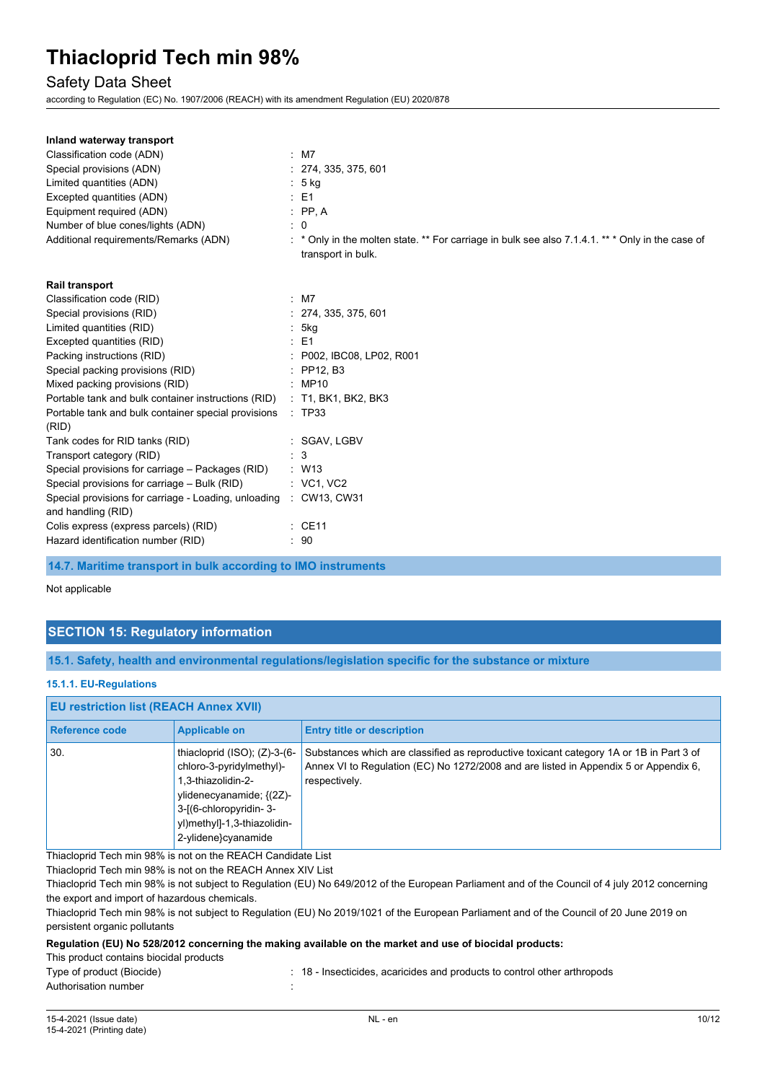### Safety Data Sheet

according to Regulation (EC) No. 1907/2006 (REACH) with its amendment Regulation (EU) 2020/878

| Inland waterway transport                                                  |     |                                                                                                                      |
|----------------------------------------------------------------------------|-----|----------------------------------------------------------------------------------------------------------------------|
| Classification code (ADN)                                                  |     | $\therefore$ M7                                                                                                      |
| Special provisions (ADN)                                                   |     | : 274, 335, 375, 601                                                                                                 |
| Limited quantities (ADN)                                                   |     | : 5 kg                                                                                                               |
| Excepted quantities (ADN)                                                  |     | $\therefore$ E1                                                                                                      |
| Equipment required (ADN)                                                   |     | $\therefore$ PP, A                                                                                                   |
| Number of blue cones/lights (ADN)                                          |     | 0                                                                                                                    |
| Additional requirements/Remarks (ADN)                                      |     | * Only in the molten state. ** For carriage in bulk see also 7.1.4.1. ** * Only in the case of<br>transport in bulk. |
| <b>Rail transport</b>                                                      |     |                                                                                                                      |
| Classification code (RID)                                                  |     | $:$ M7                                                                                                               |
| Special provisions (RID)                                                   |     | : 274, 335, 375, 601                                                                                                 |
| Limited quantities (RID)                                                   |     | : 5kg                                                                                                                |
| Excepted quantities (RID)                                                  |     | $E = 1$                                                                                                              |
| Packing instructions (RID)                                                 |     | : P002, IBC08, LP02, R001                                                                                            |
| Special packing provisions (RID)                                           |     | $\therefore$ PP12. B3                                                                                                |
| Mixed packing provisions (RID)                                             |     | : MP10                                                                                                               |
| Portable tank and bulk container instructions (RID)                        |     | $:$ T1, BK1, BK2, BK3                                                                                                |
| Portable tank and bulk container special provisions<br>(RID)               |     | : TP33                                                                                                               |
| Tank codes for RID tanks (RID)                                             |     | : SGAV, LGBV                                                                                                         |
| Transport category (RID)                                                   | : 3 |                                                                                                                      |
| Special provisions for carriage - Packages (RID)                           |     | $\therefore$ W13                                                                                                     |
| Special provisions for carriage - Bulk (RID)                               |     | : VC1, VC2                                                                                                           |
| Special provisions for carriage - Loading, unloading<br>and handling (RID) |     | : CW13, CW31                                                                                                         |
| Colis express (express parcels) (RID)                                      |     | $:$ CE11                                                                                                             |
| Hazard identification number (RID)                                         |     | : 90                                                                                                                 |

**14.7. Maritime transport in bulk according to IMO instruments**

#### Not applicable

## **SECTION 15: Regulatory information**

**15.1. Safety, health and environmental regulations/legislation specific for the substance or mixture**

#### **15.1.1. EU-Regulations**

| <b>EU restriction list (REACH Annex XVII)</b> |                                                                                                                                                                                                     |                                                                                                                                                                                                  |  |
|-----------------------------------------------|-----------------------------------------------------------------------------------------------------------------------------------------------------------------------------------------------------|--------------------------------------------------------------------------------------------------------------------------------------------------------------------------------------------------|--|
| Reference code                                | <b>Applicable on</b>                                                                                                                                                                                | <b>Entry title or description</b>                                                                                                                                                                |  |
| 30.                                           | thiacloprid $(ISO)$ ; $(Z)$ -3- $(6-$<br>chloro-3-pyridylmethyl)-<br>1,3-thiazolidin-2-<br>ylidenecyanamide; {(2Z)-<br>3-[(6-chloropyridin-3-<br>yl)methyl]-1,3-thiazolidin-<br>2-ylidene}cyanamide | Substances which are classified as reproductive toxicant category 1A or 1B in Part 3 of<br>Annex VI to Regulation (EC) No 1272/2008 and are listed in Appendix 5 or Appendix 6,<br>respectively. |  |

Thiacloprid Tech min 98% is not on the REACH Candidate List

Thiacloprid Tech min 98% is not on the REACH Annex XIV List

Thiacloprid Tech min 98% is not subject to Regulation (EU) No 649/2012 of the European Parliament and of the Council of 4 july 2012 concerning the export and import of hazardous chemicals.

Thiacloprid Tech min 98% is not subject to Regulation (EU) No 2019/1021 of the European Parliament and of the Council of 20 June 2019 on persistent organic pollutants

### **Regulation (EU) No 528/2012 concerning the making available on the market and use of biocidal products:**

This product contains biocidal products

| Type of product (Biocide) | : 18 - Insecticides, acaricides and products to control other arthropods |
|---------------------------|--------------------------------------------------------------------------|
| Authorisation number      |                                                                          |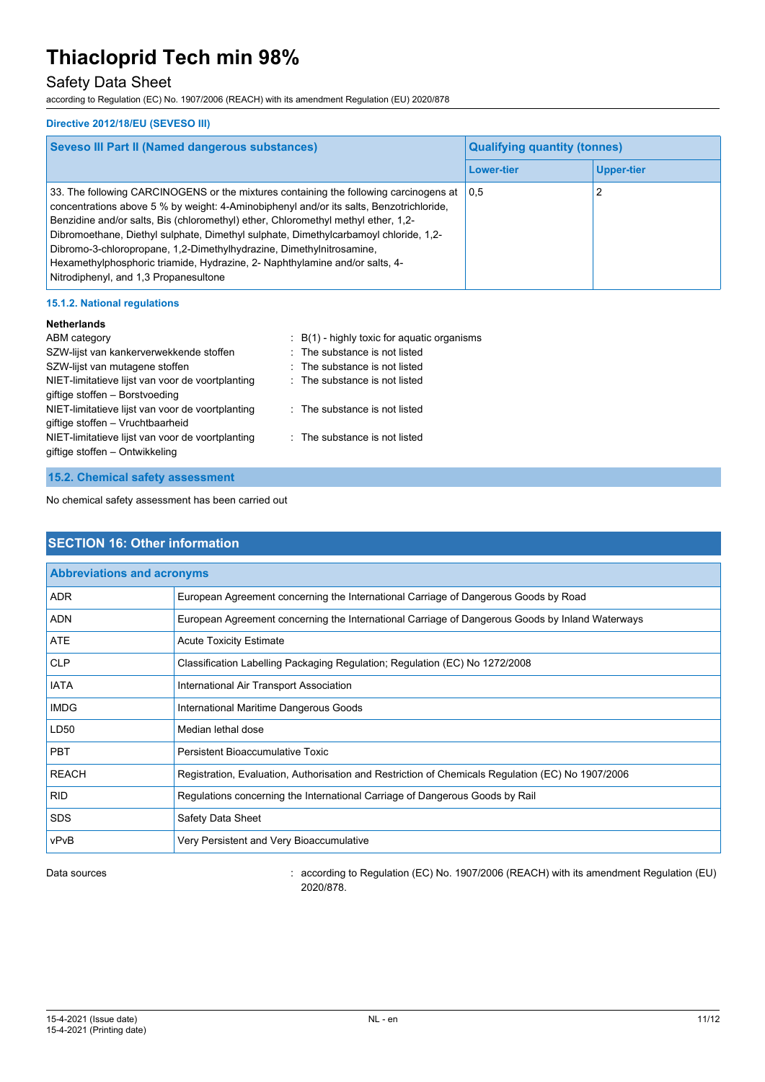# Safety Data Sheet

according to Regulation (EC) No. 1907/2006 (REACH) with its amendment Regulation (EU) 2020/878

#### **Directive 2012/18/EU (SEVESO III)**

| <b>Seveso III Part II (Named dangerous substances)</b>                                                                                                                                                                                                                                                                                                                                                                                                                                                                                                        | <b>Qualifying quantity (tonnes)</b> |                   |
|---------------------------------------------------------------------------------------------------------------------------------------------------------------------------------------------------------------------------------------------------------------------------------------------------------------------------------------------------------------------------------------------------------------------------------------------------------------------------------------------------------------------------------------------------------------|-------------------------------------|-------------------|
|                                                                                                                                                                                                                                                                                                                                                                                                                                                                                                                                                               | <b>Lower-tier</b>                   | <b>Upper-tier</b> |
| 33. The following CARCINOGENS or the mixtures containing the following carcinogens at<br>concentrations above 5 % by weight: 4-Aminobiphenyl and/or its salts, Benzotrichloride,<br>Benzidine and/or salts, Bis (chloromethyl) ether, Chloromethyl methyl ether, 1,2-<br>Dibromoethane, Diethyl sulphate, Dimethyl sulphate, Dimethylcarbamoyl chloride, 1,2-<br>Dibromo-3-chloropropane, 1,2-Dimethylhydrazine, Dimethylnitrosamine,<br>Hexamethylphosphoric triamide, Hydrazine, 2- Naphthylamine and/or salts, 4-<br>Nitrodiphenyl, and 1,3 Propanesultone | 0.5                                 |                   |

#### **15.1.2. National regulations**

#### **Netherlands**

| ABM category                                     | $B(1)$ - highly toxic for aquatic organisms |
|--------------------------------------------------|---------------------------------------------|
| SZW-lijst van kankerverwekkende stoffen          | : The substance is not listed               |
| SZW-lijst van mutagene stoffen                   | $\therefore$ The substance is not listed    |
| NIET-limitatieve lijst van voor de voortplanting | : The substance is not listed               |
| giftige stoffen - Borstvoeding                   |                                             |
| NIET-limitatieve lijst van voor de voortplanting | : The substance is not listed               |
| giftige stoffen - Vruchtbaarheid                 |                                             |
| NIET-limitatieve lijst van voor de voortplanting | : The substance is not listed               |
| giftige stoffen – Ontwikkeling                   |                                             |

#### **15.2. Chemical safety assessment**

No chemical safety assessment has been carried out

# **SECTION 16: Other information Abbreviations and acronyms** ADR **European Agreement concerning the International Carriage of Dangerous Goods by Road** ADN European Agreement concerning the International Carriage of Dangerous Goods by Inland Waterways ATE Acute Toxicity Estimate CLP Classification Labelling Packaging Regulation; Regulation (EC) No 1272/2008 IATA **International Air Transport Association** IMDG **IMDG** International Maritime Dangerous Goods LD50 Median lethal dose **PBT** Persistent Bioaccumulative Toxic REACH Registration, Evaluation, Authorisation and Restriction of Chemicals Regulation (EC) No 1907/2006 RID Regulations concerning the International Carriage of Dangerous Goods by Rail SDS Safety Data Sheet vPvB Very Persistent and Very Bioaccumulative

Data sources **according to Regulation (EC) No. 1907/2006 (REACH) with its amendment Regulation (EU)** Data sources 2020/878.